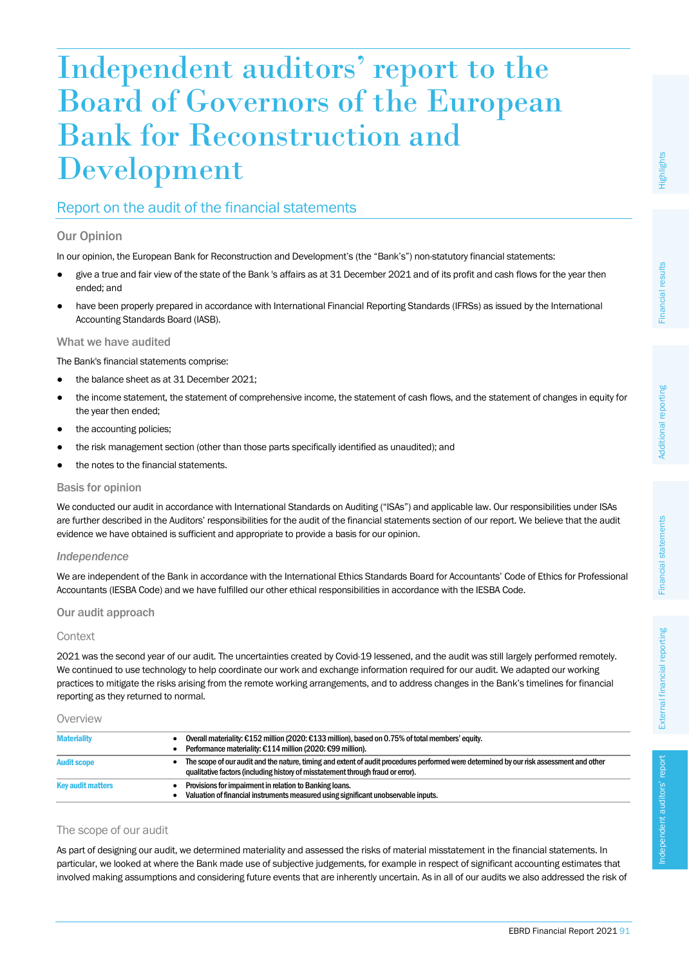# Independent auditors' report to the Board of Governors of the European Bank for Reconstruction and Development

## Report on the audit of the financial statements

## Our Opinion

In our opinion, the European Bank for Reconstruction and Development's (the "Bank's") non-statutory financial statements:

- give a true and fair view of the state of the Bank 's affairs as at 31 December 2021 and of its profit and cash flows for the year then ended; and
- have been properly prepared in accordance with International Financial Reporting Standards (IFRSs) as issued by the International Accounting Standards Board (IASB).

## What we have audited

The Bank's financial statements comprise:

- the balance sheet as at 31 December 2021;
- the income statement, the statement of comprehensive income, the statement of cash flows, and the statement of changes in equity for the year then ended;
- the accounting policies;
- the risk management section (other than those parts specifically identified as unaudited); and
- the notes to the financial statements.

## Basis for opinion

We conducted our audit in accordance with International Standards on Auditing ("ISAs") and applicable law. Our responsibilities under ISAs are further described in the Auditors' responsibilities for the audit of the financial statements section of our report. We believe that the audit evidence we have obtained is sufficient and appropriate to provide a basis for our opinion.

## *Independence*

We are independent of the Bank in accordance with the International Ethics Standards Board for Accountants' Code of Ethics for Professional Accountants (IESBA Code) and we have fulfilled our other ethical responsibilities in accordance with the IESBA Code.

## Our audit approach

## **Context**

2021 was the second year of our audit. The uncertainties created by Covid-19 lessened, and the audit was still largely performed remotely. We continued to use technology to help coordinate our work and exchange information required for our audit. We adapted our working practices to mitigate the risks arising from the remote working arrangements, and to address changes in the Bank's timelines for financial reporting as they returned to normal.

**Overview** 

| <b>Materiality</b>       | Overall materiality: €152 million (2020: €133 million), based on 0.75% of total members' equity.<br>Performance materiality: €114 million (2020: €99 million).                                                             |
|--------------------------|----------------------------------------------------------------------------------------------------------------------------------------------------------------------------------------------------------------------------|
| <b>Audit scope</b>       | The scope of our audit and the nature, timing and extent of audit procedures performed were determined by our risk assessment and other<br>qualitative factors (including history of misstatement through fraud or error). |
| <b>Key audit matters</b> | Provisions for impairment in relation to Banking loans.<br>Valuation of financial instruments measured using significant unobservable inputs.                                                                              |

## The scope of our audit

As part of designing our audit, we determined materiality and assessed the risks of material misstatement in the financial statements. In particular, we looked at where the Bank made use of subjective judgements, for example in respect of significant accounting estimates that involved making assumptions and considering future events that are inherently uncertain. As in all of our audits we also addressed the risk of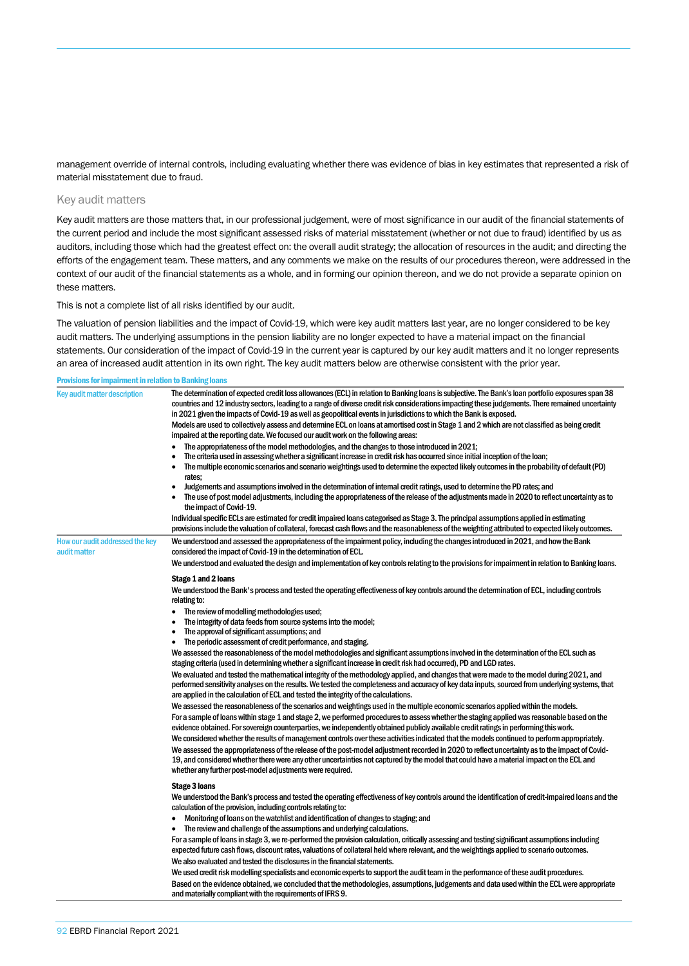management override of internal controls, including evaluating whether there was evidence of bias in key estimates that represented a risk of material misstatement due to fraud.

#### Key audit matters

Key audit matters are those matters that, in our professional judgement, were of most significance in our audit of the financial statements of the current period and include the most significant assessed risks of material misstatement (whether or not due to fraud) identified by us as auditors, including those which had the greatest effect on: the overall audit strategy; the allocation of resources in the audit; and directing the efforts of the engagement team. These matters, and any comments we make on the results of our procedures thereon, were addressed in the context of our audit of the financial statements as a whole, and in forming our opinion thereon, and we do not provide a separate opinion on these matters.

This is not a complete list of all risks identified by our audit.

The valuation of pension liabilities and the impact of Covid-19, which were key audit matters last year, are no longer considered to be key audit matters. The underlying assumptions in the pension liability are no longer expected to have a material impact on the financial statements. Our consideration of the impact of Covid-19 in the current year is captured by our key audit matters and it no longer represents an area of increased audit attention in its own right. The key audit matters below are otherwise consistent with the prior year.

#### Provisions for impairment in relation to Banking loans

| Key audit matter description                    | The determination of expected credit loss allowances (ECL) in relation to Banking loans is subjective. The Bank's loan portfolio exposures span 38<br>countries and 12 industry sectors, leading to a range of diverse credit risk considerations impacting these judgements. There remained uncertainty<br>in 2021 given the impacts of Covid-19 as well as geopolitical events in jurisdictions to which the Bank is exposed.<br>Models are used to collectively assess and determine ECL on loans at amortised cost in Stage 1 and 2 which are not classified as being credit<br>impaired at the reporting date. We focused our audit work on the following areas:<br>The appropriateness of the model methodologies, and the changes to those introduced in 2021;<br>The criteria used in assessing whether a significant increase in credit risk has occurred since initial inception of the loan;<br>The multiple economic scenarios and scenario weightings used to determine the expected likely outcomes in the probability of default (PD)<br>rates:<br>Judgements and assumptions involved in the determination of internal credit ratings, used to determine the PD rates; and<br>٠                                                                                                                                                                                                                                                                                                                                                                                                                                                                                                                                                                                                                                                                                                                                                                                                                                  |
|-------------------------------------------------|----------------------------------------------------------------------------------------------------------------------------------------------------------------------------------------------------------------------------------------------------------------------------------------------------------------------------------------------------------------------------------------------------------------------------------------------------------------------------------------------------------------------------------------------------------------------------------------------------------------------------------------------------------------------------------------------------------------------------------------------------------------------------------------------------------------------------------------------------------------------------------------------------------------------------------------------------------------------------------------------------------------------------------------------------------------------------------------------------------------------------------------------------------------------------------------------------------------------------------------------------------------------------------------------------------------------------------------------------------------------------------------------------------------------------------------------------------------------------------------------------------------------------------------------------------------------------------------------------------------------------------------------------------------------------------------------------------------------------------------------------------------------------------------------------------------------------------------------------------------------------------------------------------------------------------------------------------------------------------------------------------------------------------|
|                                                 | The use of post model adjustments, including the appropriateness of the release of the adjustments made in 2020 to reflect uncertainty as to<br>the impact of Covid-19.<br>Individual specific ECLs are estimated for credit impaired loans categorised as Stage 3. The principal assumptions applied in estimating<br>provisions include the valuation of collateral, forecast cash flows and the reasonableness of the weighting attributed to expected likely outcomes.                                                                                                                                                                                                                                                                                                                                                                                                                                                                                                                                                                                                                                                                                                                                                                                                                                                                                                                                                                                                                                                                                                                                                                                                                                                                                                                                                                                                                                                                                                                                                       |
| How our audit addressed the key<br>audit matter | We understood and assessed the appropriateness of the impairment policy, including the changes introduced in 2021, and how the Bank<br>considered the impact of Covid-19 in the determination of ECL.<br>We understood and evaluated the design and implementation of key controls relating to the provisions for impairment in relation to Banking loans.                                                                                                                                                                                                                                                                                                                                                                                                                                                                                                                                                                                                                                                                                                                                                                                                                                                                                                                                                                                                                                                                                                                                                                                                                                                                                                                                                                                                                                                                                                                                                                                                                                                                       |
|                                                 | Stage 1 and 2 loans<br>We understood the Bank's process and tested the operating effectiveness of key controls around the determination of ECL, including controls<br>relating to:<br>The review of modelling methodologies used;<br>$\bullet$<br>The integrity of data feeds from source systems into the model;<br>The approval of significant assumptions; and<br>The periodic assessment of credit performance, and staging.<br>We assessed the reasonableness of the model methodologies and significant assumptions involved in the determination of the ECL such as<br>staging criteria (used in determining whether a significant increase in credit risk had occurred), PD and LGD rates.<br>We evaluated and tested the mathematical integrity of the methodology applied, and changes that were made to the model during 2021, and<br>performed sensitivity analyses on the results. We tested the completeness and accuracy of key data inputs, sourced from underlying systems, that<br>are applied in the calculation of ECL and tested the integrity of the calculations.<br>We assessed the reasonableness of the scenarios and weightings used in the multiple economic scenarios applied within the models.<br>For a sample of loans within stage 1 and stage 2, we performed procedures to assess whether the staging applied was reasonable based on the<br>evidence obtained. For sovereign counterparties, we independently obtained publicly available credit ratings in performing this work.<br>We considered whether the results of management controls over these activities indicated that the models continued to perform appropriately.<br>We assessed the appropriateness of the release of the post-model adjustment recorded in 2020 to reflect uncertainty as to the impact of Covid-<br>19, and considered whether there were any other uncertainties not captured by the model that could have a material impact on the ECL and<br>whether any further post-model adjustments were required. |
|                                                 | <b>Stage 3 loans</b><br>We understood the Bank's process and tested the operating effectiveness of key controls around the identification of credit-impaired loans and the<br>calculation of the provision, including controls relating to:<br>Monitoring of loans on the watchlist and identification of changes to staging; and<br>• The review and challenge of the assumptions and underlying calculations.<br>For a sample of loans in stage 3, we re-performed the provision calculation, critically assessing and testing significant assumptions including<br>expected future cash flows, discount rates, valuations of collateral held where relevant, and the weightings applied to scenario outcomes.<br>We also evaluated and tested the disclosures in the financial statements.<br>We used credit risk modelling specialists and economic experts to support the audit team in the performance of these audit procedures.                                                                                                                                                                                                                                                                                                                                                                                                                                                                                                                                                                                                                                                                                                                                                                                                                                                                                                                                                                                                                                                                                          |

Based on the evidence obtained, we concluded that the methodologies, assumptions, judgements and data used within the ECL were appropriate and materially compliant with the requirements of IFRS 9.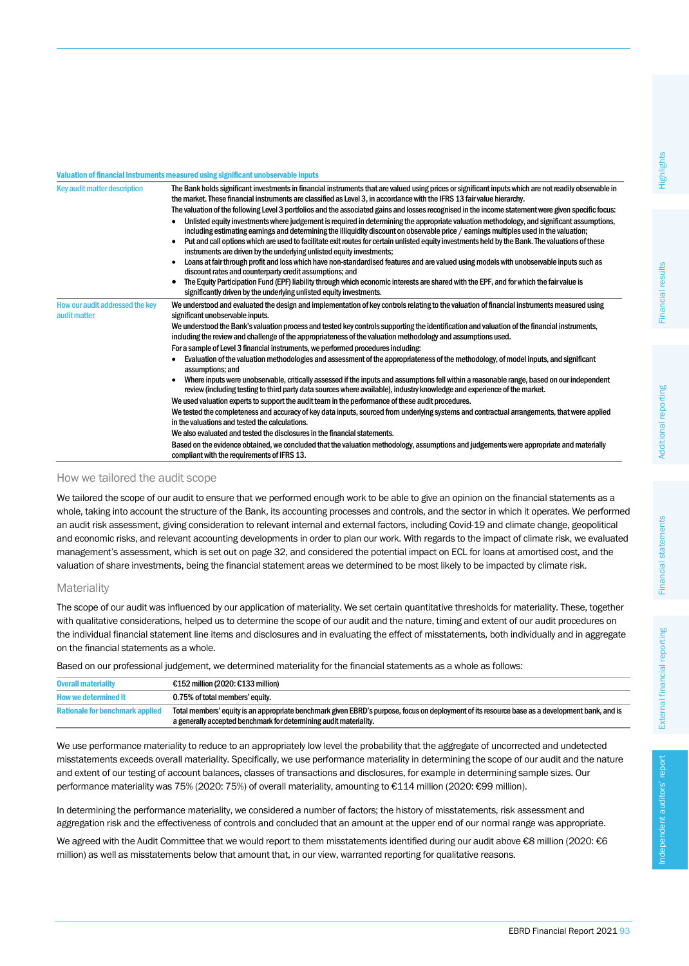#### Valuation of financial instruments measured using significant unobservable inputs

| Key audit matter description                    | The Bank holds significant investments in financial instruments that are valued using prices or significant inputs which are not readily observable in<br>the market. These financial instruments are classified as Level 3, in accordance with the IFRS 13 fair value hierarchy.<br>The valuation of the following Level 3 portfolios and the associated gains and losses recognised in the income statement were given specific focus:<br>Unlisted equity investments where judgement is required in determining the appropriate valuation methodology, and significant assumptions,<br>including estimating earnings and determining the illiquidity discount on observable price / earnings multiples used in the valuation;<br>Put and call options which are used to facilitate exit routes for certain unlisted equity investments held by the Bank. The valuations of these<br>$\bullet$<br>instruments are driven by the underlying unlisted equity investments;<br>Loans at fair through profit and loss which have non-standardised features and are valued using models with unobservable inputs such as<br>$\bullet$<br>discount rates and counterparty credit assumptions; and<br>The Equity Participation Fund (EPF) liability through which economic interests are shared with the EPF, and for which the fair value is<br>significantly driven by the underlying unlisted equity investments. |
|-------------------------------------------------|----------------------------------------------------------------------------------------------------------------------------------------------------------------------------------------------------------------------------------------------------------------------------------------------------------------------------------------------------------------------------------------------------------------------------------------------------------------------------------------------------------------------------------------------------------------------------------------------------------------------------------------------------------------------------------------------------------------------------------------------------------------------------------------------------------------------------------------------------------------------------------------------------------------------------------------------------------------------------------------------------------------------------------------------------------------------------------------------------------------------------------------------------------------------------------------------------------------------------------------------------------------------------------------------------------------------------------------------------------------------------------------------------------------|
| How our audit addressed the key<br>audit matter | We understood and evaluated the design and implementation of key controls relating to the valuation of financial instruments measured using<br>significant unobservable inputs.<br>We understood the Bank's valuation process and tested key controls supporting the identification and valuation of the financial instruments,<br>including the review and challenge of the appropriateness of the valuation methodology and assumptions used.<br>For a sample of Level 3 financial instruments, we performed procedures including:<br>Evaluation of the valuation methodologies and assessment of the appropriateness of the methodology, of model inputs, and significant<br>$\bullet$<br>assumptions; and<br>Where inputs were unobservable, critically assessed if the inputs and assumptions fell within a reasonable range, based on our independent<br>$\bullet$<br>review (including testing to third party data sources where available), industry knowledge and experience of the market.                                                                                                                                                                                                                                                                                                                                                                                                           |
|                                                 | We used valuation experts to support the audit team in the performance of these audit procedures.<br>We tested the completeness and accuracy of key data inputs, sourced from underlying systems and contractual arrangements, that were applied<br>in the valuations and tested the calculations.                                                                                                                                                                                                                                                                                                                                                                                                                                                                                                                                                                                                                                                                                                                                                                                                                                                                                                                                                                                                                                                                                                             |
|                                                 | We also evaluated and tested the disclosures in the financial statements.<br>Based on the evidence obtained, we concluded that the valuation methodology, assumptions and judgements were appropriate and materially<br>compliant with the requirements of IFRS 13.                                                                                                                                                                                                                                                                                                                                                                                                                                                                                                                                                                                                                                                                                                                                                                                                                                                                                                                                                                                                                                                                                                                                            |

#### How we tailored the audit scope

We tailored the scope of our audit to ensure that we performed enough work to be able to give an opinion on the financial statements as a whole, taking into account the structure of the Bank, its accounting processes and controls, and the sector in which it operates. We performed an audit risk assessment, giving consideration to relevant internal and external factors, including Covid-19 and climate change, geopolitical and economic risks, and relevant accounting developments in order to plan our work. With regards to the impact of climate risk, we evaluated management's assessment, which is set out on page 32, and considered the potential impact on ECL for loans at amortised cost, and the valuation of share investments, being the financial statement areas we determined to be most likely to be impacted by climate risk.

#### **Materiality**

The scope of our audit was influenced by our application of materiality. We set certain quantitative thresholds for materiality. These, together with qualitative considerations, helped us to determine the scope of our audit and the nature, timing and extent of our audit procedures on the individual financial statement line items and disclosures and in evaluating the effect of misstatements, both individually and in aggregate on the financial statements as a whole.

Based on our professional judgement, we determined materiality for the financial statements as a whole as follows:

| <b>Overall materiality</b>             | €152 million (2020: €133 million)                                                                                                                                                                                   |
|----------------------------------------|---------------------------------------------------------------------------------------------------------------------------------------------------------------------------------------------------------------------|
| <b>How we determined it</b>            | 0.75% of total members' equity.                                                                                                                                                                                     |
| <b>Rationale for benchmark applied</b> | Total members' equity is an appropriate benchmark given EBRD's purpose, focus on deployment of its resource base as a development bank, and is<br>a generally accepted benchmark for determining audit materiality. |

We use performance materiality to reduce to an appropriately low level the probability that the aggregate of uncorrected and undetected misstatements exceeds overall materiality. Specifically, we use performance materiality in determining the scope of our audit and the nature and extent of our testing of account balances, classes of transactions and disclosures, for example in determining sample sizes. Our performance materiality was 75% (2020: 75%) of overall materiality, amounting to €114 million (2020: €99 million).

In determining the performance materiality, we considered a number of factors; the history of misstatements, risk assessment and aggregation risk and the effectiveness of controls and concluded that an amount at the upper end of our normal range was appropriate.

We agreed with the Audit Committee that we would report to them misstatements identified during our audit above €8 million (2020: €6 million) as well as misstatements below that amount that, in our view, warranted reporting for qualitative reasons.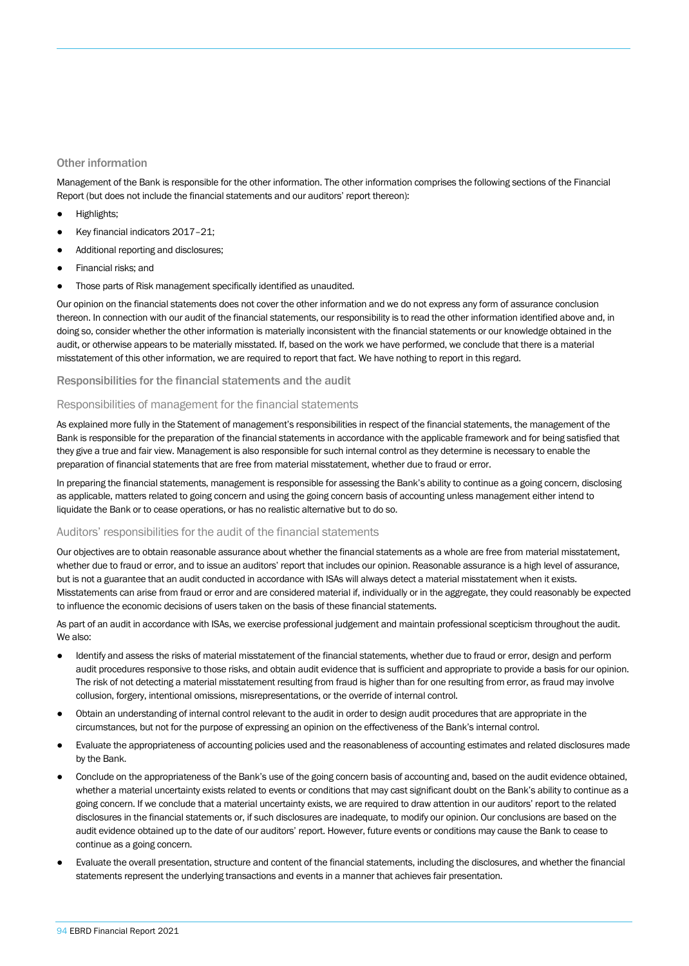#### Other information

Management of the Bank is responsible for the other information. The other information comprises the following sections of the Financial Report (but does not include the financial statements and our auditors' report thereon):

- Highlights;
- Key financial indicators 2017-21:
- Additional reporting and disclosures;
- Financial risks; and
- Those parts of Risk management specifically identified as unaudited.

Our opinion on the financial statements does not cover the other information and we do not express any form of assurance conclusion thereon. In connection with our audit of the financial statements, our responsibility is to read the other information identified above and, in doing so, consider whether the other information is materially inconsistent with the financial statements or our knowledge obtained in the audit, or otherwise appears to be materially misstated. If, based on the work we have performed, we conclude that there is a material misstatement of this other information, we are required to report that fact. We have nothing to report in this regard.

#### Responsibilities for the financial statements and the audit

#### Responsibilities of management for the financial statements

As explained more fully in the Statement of management's responsibilities in respect of the financial statements, the management of the Bank is responsible for the preparation of the financial statements in accordance with the applicable framework and for being satisfied that they give a true and fair view. Management is also responsible for such internal control as they determine is necessary to enable the preparation of financial statements that are free from material misstatement, whether due to fraud or error.

In preparing the financial statements, management is responsible for assessing the Bank's ability to continue as a going concern, disclosing as applicable, matters related to going concern and using the going concern basis of accounting unless management either intend to liquidate the Bank or to cease operations, or has no realistic alternative but to do so.

#### Auditors' responsibilities for the audit of the financial statements

Our objectives are to obtain reasonable assurance about whether the financial statements as a whole are free from material misstatement, whether due to fraud or error, and to issue an auditors' report that includes our opinion. Reasonable assurance is a high level of assurance, but is not a guarantee that an audit conducted in accordance with ISAs will always detect a material misstatement when it exists. Misstatements can arise from fraud or error and are considered material if, individually or in the aggregate, they could reasonably be expected to influence the economic decisions of users taken on the basis of these financial statements.

As part of an audit in accordance with ISAs, we exercise professional judgement and maintain professional scepticism throughout the audit. We also:

- Identify and assess the risks of material misstatement of the financial statements, whether due to fraud or error, design and perform audit procedures responsive to those risks, and obtain audit evidence that is sufficient and appropriate to provide a basis for our opinion. The risk of not detecting a material misstatement resulting from fraud is higher than for one resulting from error, as fraud may involve collusion, forgery, intentional omissions, misrepresentations, or the override of internal control.
- Obtain an understanding of internal control relevant to the audit in order to design audit procedures that are appropriate in the circumstances, but not for the purpose of expressing an opinion on the effectiveness of the Bank's internal control.
- Evaluate the appropriateness of accounting policies used and the reasonableness of accounting estimates and related disclosures made by the Bank.
- Conclude on the appropriateness of the Bank's use of the going concern basis of accounting and, based on the audit evidence obtained, whether a material uncertainty exists related to events or conditions that may cast significant doubt on the Bank's ability to continue as a going concern. If we conclude that a material uncertainty exists, we are required to draw attention in our auditors' report to the related disclosures in the financial statements or, if such disclosures are inadequate, to modify our opinion. Our conclusions are based on the audit evidence obtained up to the date of our auditors' report. However, future events or conditions may cause the Bank to cease to continue as a going concern.
- Evaluate the overall presentation, structure and content of the financial statements, including the disclosures, and whether the financial statements represent the underlying transactions and events in a manner that achieves fair presentation.